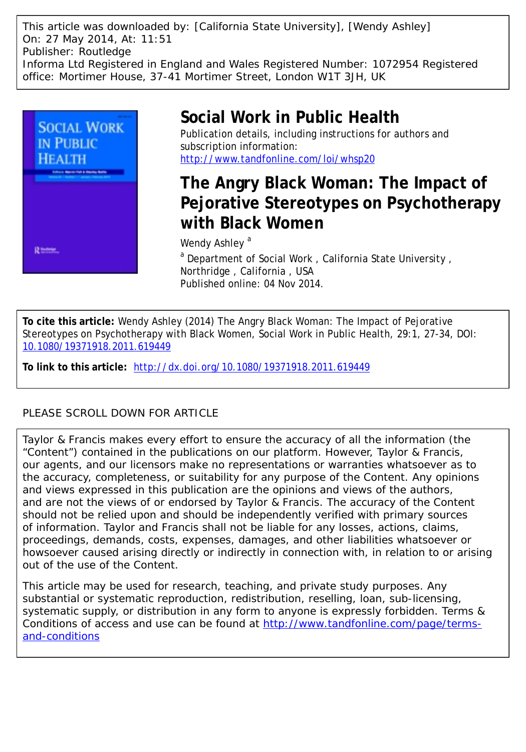This article was downloaded by: [California State University], [Wendy Ashley] On: 27 May 2014, At: 11:51 Publisher: Routledge Informa Ltd Registered in England and Wales Registered Number: 1072954 Registered office: Mortimer House, 37-41 Mortimer Street, London W1T 3JH, UK



# **Social Work in Public Health**

Publication details, including instructions for authors and subscription information: <http://www.tandfonline.com/loi/whsp20>

## **The Angry Black Woman: The Impact of Pejorative Stereotypes on Psychotherapy with Black Women**

Wendy Ashley<sup>a</sup>

<sup>a</sup> Department of Social Work, California State University, Northridge , California , USA Published online: 04 Nov 2014.

**To cite this article:** Wendy Ashley (2014) The Angry Black Woman: The Impact of Pejorative Stereotypes on Psychotherapy with Black Women, Social Work in Public Health, 29:1, 27-34, DOI: [10.1080/19371918.2011.619449](http://www.tandfonline.com/action/showCitFormats?doi=10.1080/19371918.2011.619449)

**To link to this article:** <http://dx.doi.org/10.1080/19371918.2011.619449>

### PLEASE SCROLL DOWN FOR ARTICLE

Taylor & Francis makes every effort to ensure the accuracy of all the information (the "Content") contained in the publications on our platform. However, Taylor & Francis, our agents, and our licensors make no representations or warranties whatsoever as to the accuracy, completeness, or suitability for any purpose of the Content. Any opinions and views expressed in this publication are the opinions and views of the authors, and are not the views of or endorsed by Taylor & Francis. The accuracy of the Content should not be relied upon and should be independently verified with primary sources of information. Taylor and Francis shall not be liable for any losses, actions, claims, proceedings, demands, costs, expenses, damages, and other liabilities whatsoever or howsoever caused arising directly or indirectly in connection with, in relation to or arising out of the use of the Content.

This article may be used for research, teaching, and private study purposes. Any substantial or systematic reproduction, redistribution, reselling, loan, sub-licensing, systematic supply, or distribution in any form to anyone is expressly forbidden. Terms & Conditions of access and use can be found at [http://www.tandfonline.com/page/terms](http://www.tandfonline.com/page/terms-and-conditions)[and-conditions](http://www.tandfonline.com/page/terms-and-conditions)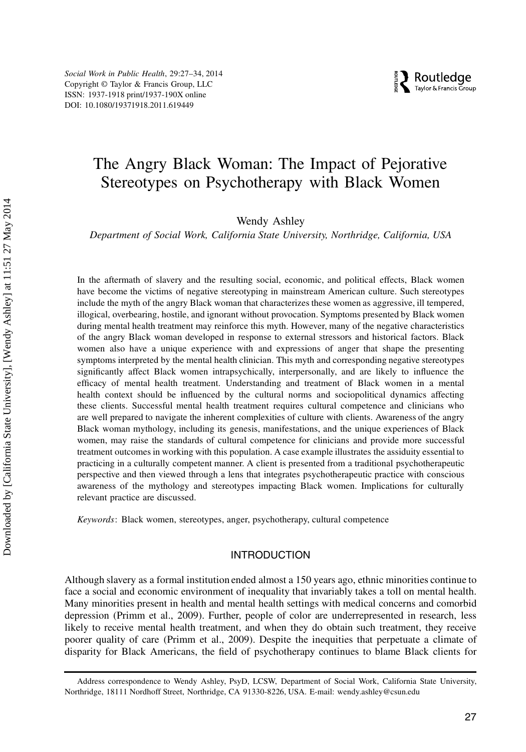Social Work in Public Health, 29:27–34, 2014 Copyright © Taylor & Francis Group, LLC ISSN: 1937-1918 print/1937-190X online DOI: 10.1080/19371918.2011.619449

### The Angry Black Woman: The Impact of Pejorative Stereotypes on Psychotherapy with Black Women

Wendy Ashley

Department of Social Work, California State University, Northridge, California, USA

In the aftermath of slavery and the resulting social, economic, and political effects, Black women have become the victims of negative stereotyping in mainstream American culture. Such stereotypes include the myth of the angry Black woman that characterizes these women as aggressive, ill tempered, illogical, overbearing, hostile, and ignorant without provocation. Symptoms presented by Black women during mental health treatment may reinforce this myth. However, many of the negative characteristics of the angry Black woman developed in response to external stressors and historical factors. Black women also have a unique experience with and expressions of anger that shape the presenting symptoms interpreted by the mental health clinician. This myth and corresponding negative stereotypes significantly affect Black women intrapsychically, interpersonally, and are likely to influence the efficacy of mental health treatment. Understanding and treatment of Black women in a mental health context should be influenced by the cultural norms and sociopolitical dynamics affecting these clients. Successful mental health treatment requires cultural competence and clinicians who are well prepared to navigate the inherent complexities of culture with clients. Awareness of the angry Black woman mythology, including its genesis, manifestations, and the unique experiences of Black women, may raise the standards of cultural competence for clinicians and provide more successful treatment outcomes in working with this population. A case example illustrates the assiduity essential to practicing in a culturally competent manner. A client is presented from a traditional psychotherapeutic perspective and then viewed through a lens that integrates psychotherapeutic practice with conscious awareness of the mythology and stereotypes impacting Black women. Implications for culturally relevant practice are discussed.

Keywords: Black women, stereotypes, anger, psychotherapy, cultural competence

#### INTRODUCTION

Although slavery as a formal institution ended almost a 150 years ago, ethnic minorities continue to face a social and economic environment of inequality that invariably takes a toll on mental health. Many minorities present in health and mental health settings with medical concerns and comorbid depression (Primm et al., 2009). Further, people of color are underrepresented in research, less likely to receive mental health treatment, and when they do obtain such treatment, they receive poorer quality of care (Primm et al., 2009). Despite the inequities that perpetuate a climate of disparity for Black Americans, the field of psychotherapy continues to blame Black clients for

Address correspondence to Wendy Ashley, PsyD, LCSW, Department of Social Work, California State University, Northridge, 18111 Nordhoff Street, Northridge, CA 91330-8226, USA. E-mail: wendy.ashley@csun.edu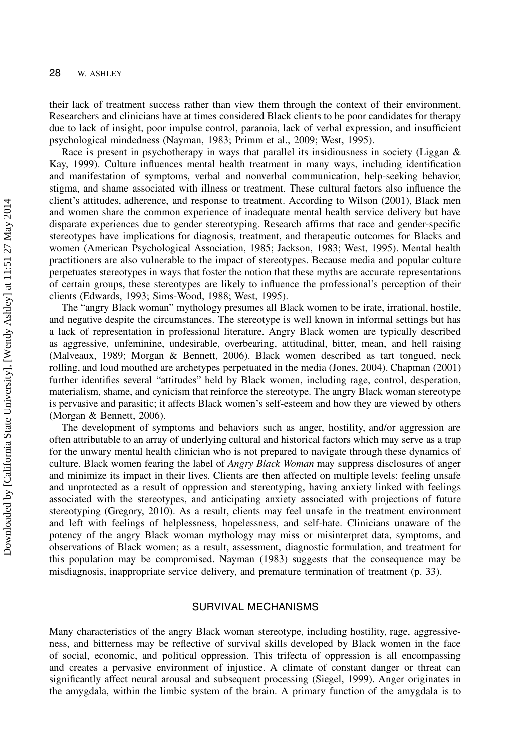their lack of treatment success rather than view them through the context of their environment. Researchers and clinicians have at times considered Black clients to be poor candidates for therapy due to lack of insight, poor impulse control, paranoia, lack of verbal expression, and insufficient psychological mindedness (Nayman, 1983; Primm et al., 2009; West, 1995).

Race is present in psychotherapy in ways that parallel its insidiousness in society (Liggan & Kay, 1999). Culture influences mental health treatment in many ways, including identification and manifestation of symptoms, verbal and nonverbal communication, help-seeking behavior, stigma, and shame associated with illness or treatment. These cultural factors also influence the client's attitudes, adherence, and response to treatment. According to Wilson (2001), Black men and women share the common experience of inadequate mental health service delivery but have disparate experiences due to gender stereotyping. Research affirms that race and gender-specific stereotypes have implications for diagnosis, treatment, and therapeutic outcomes for Blacks and women (American Psychological Association, 1985; Jackson, 1983; West, 1995). Mental health practitioners are also vulnerable to the impact of stereotypes. Because media and popular culture perpetuates stereotypes in ways that foster the notion that these myths are accurate representations of certain groups, these stereotypes are likely to influence the professional's perception of their clients (Edwards, 1993; Sims-Wood, 1988; West, 1995).

The "angry Black woman" mythology presumes all Black women to be irate, irrational, hostile, and negative despite the circumstances. The stereotype is well known in informal settings but has a lack of representation in professional literature. Angry Black women are typically described as aggressive, unfeminine, undesirable, overbearing, attitudinal, bitter, mean, and hell raising (Malveaux, 1989; Morgan & Bennett, 2006). Black women described as tart tongued, neck rolling, and loud mouthed are archetypes perpetuated in the media (Jones, 2004). Chapman (2001) further identifies several "attitudes" held by Black women, including rage, control, desperation, materialism, shame, and cynicism that reinforce the stereotype. The angry Black woman stereotype is pervasive and parasitic; it affects Black women's self-esteem and how they are viewed by others (Morgan & Bennett, 2006).

The development of symptoms and behaviors such as anger, hostility, and/or aggression are often attributable to an array of underlying cultural and historical factors which may serve as a trap for the unwary mental health clinician who is not prepared to navigate through these dynamics of culture. Black women fearing the label of *Angry Black Woman* may suppress disclosures of anger and minimize its impact in their lives. Clients are then affected on multiple levels: feeling unsafe and unprotected as a result of oppression and stereotyping, having anxiety linked with feelings associated with the stereotypes, and anticipating anxiety associated with projections of future stereotyping (Gregory, 2010). As a result, clients may feel unsafe in the treatment environment and left with feelings of helplessness, hopelessness, and self-hate. Clinicians unaware of the potency of the angry Black woman mythology may miss or misinterpret data, symptoms, and observations of Black women; as a result, assessment, diagnostic formulation, and treatment for this population may be compromised. Nayman (1983) suggests that the consequence may be misdiagnosis, inappropriate service delivery, and premature termination of treatment (p. 33).

#### SURVIVAL MECHANISMS

Many characteristics of the angry Black woman stereotype, including hostility, rage, aggressiveness, and bitterness may be reflective of survival skills developed by Black women in the face of social, economic, and political oppression. This trifecta of oppression is all encompassing and creates a pervasive environment of injustice. A climate of constant danger or threat can significantly affect neural arousal and subsequent processing (Siegel, 1999). Anger originates in the amygdala, within the limbic system of the brain. A primary function of the amygdala is to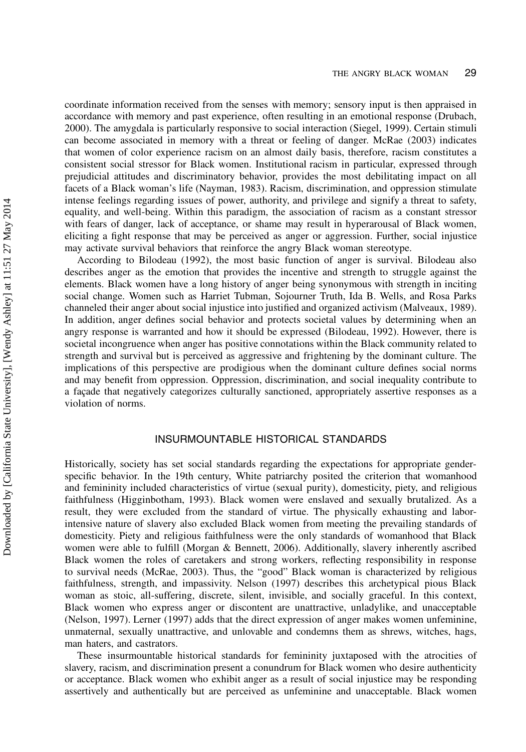coordinate information received from the senses with memory; sensory input is then appraised in accordance with memory and past experience, often resulting in an emotional response (Drubach, 2000). The amygdala is particularly responsive to social interaction (Siegel, 1999). Certain stimuli can become associated in memory with a threat or feeling of danger. McRae (2003) indicates that women of color experience racism on an almost daily basis, therefore, racism constitutes a consistent social stressor for Black women. Institutional racism in particular, expressed through prejudicial attitudes and discriminatory behavior, provides the most debilitating impact on all facets of a Black woman's life (Nayman, 1983). Racism, discrimination, and oppression stimulate intense feelings regarding issues of power, authority, and privilege and signify a threat to safety, equality, and well-being. Within this paradigm, the association of racism as a constant stressor with fears of danger, lack of acceptance, or shame may result in hyperarousal of Black women, eliciting a fight response that may be perceived as anger or aggression. Further, social injustice may activate survival behaviors that reinforce the angry Black woman stereotype.

According to Bilodeau (1992), the most basic function of anger is survival. Bilodeau also describes anger as the emotion that provides the incentive and strength to struggle against the elements. Black women have a long history of anger being synonymous with strength in inciting social change. Women such as Harriet Tubman, Sojourner Truth, Ida B. Wells, and Rosa Parks channeled their anger about social injustice into justified and organized activism (Malveaux, 1989). In addition, anger defines social behavior and protects societal values by determining when an angry response is warranted and how it should be expressed (Bilodeau, 1992). However, there is societal incongruence when anger has positive connotations within the Black community related to strength and survival but is perceived as aggressive and frightening by the dominant culture. The implications of this perspective are prodigious when the dominant culture defines social norms and may benefit from oppression. Oppression, discrimination, and social inequality contribute to a façade that negatively categorizes culturally sanctioned, appropriately assertive responses as a violation of norms.

#### INSURMOUNTABLE HISTORICAL STANDARDS

Historically, society has set social standards regarding the expectations for appropriate genderspecific behavior. In the 19th century, White patriarchy posited the criterion that womanhood and femininity included characteristics of virtue (sexual purity), domesticity, piety, and religious faithfulness (Higginbotham, 1993). Black women were enslaved and sexually brutalized. As a result, they were excluded from the standard of virtue. The physically exhausting and laborintensive nature of slavery also excluded Black women from meeting the prevailing standards of domesticity. Piety and religious faithfulness were the only standards of womanhood that Black women were able to fulfill (Morgan & Bennett, 2006). Additionally, slavery inherently ascribed Black women the roles of caretakers and strong workers, reflecting responsibility in response to survival needs (McRae, 2003). Thus, the "good" Black woman is characterized by religious faithfulness, strength, and impassivity. Nelson (1997) describes this archetypical pious Black woman as stoic, all-suffering, discrete, silent, invisible, and socially graceful. In this context, Black women who express anger or discontent are unattractive, unladylike, and unacceptable (Nelson, 1997). Lerner (1997) adds that the direct expression of anger makes women unfeminine, unmaternal, sexually unattractive, and unlovable and condemns them as shrews, witches, hags, man haters, and castrators.

These insurmountable historical standards for femininity juxtaposed with the atrocities of slavery, racism, and discrimination present a conundrum for Black women who desire authenticity or acceptance. Black women who exhibit anger as a result of social injustice may be responding assertively and authentically but are perceived as unfeminine and unacceptable. Black women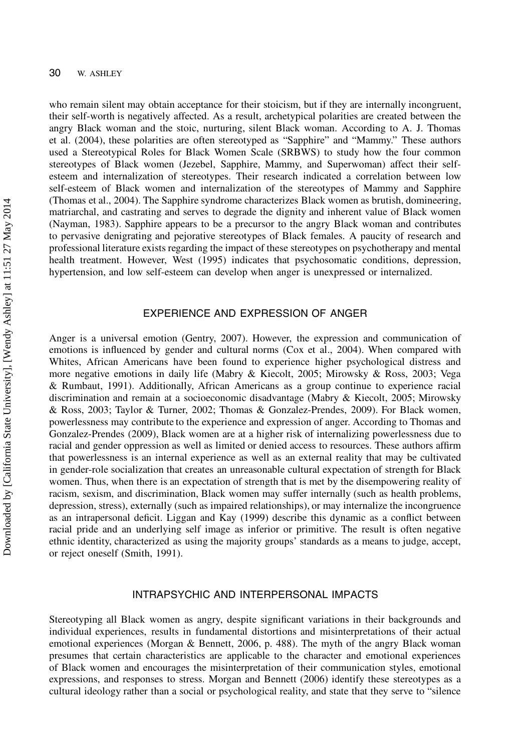who remain silent may obtain acceptance for their stoicism, but if they are internally incongruent, their self-worth is negatively affected. As a result, archetypical polarities are created between the angry Black woman and the stoic, nurturing, silent Black woman. According to A. J. Thomas et al. (2004), these polarities are often stereotyped as "Sapphire" and "Mammy." These authors used a Stereotypical Roles for Black Women Scale (SRBWS) to study how the four common stereotypes of Black women (Jezebel, Sapphire, Mammy, and Superwoman) affect their selfesteem and internalization of stereotypes. Their research indicated a correlation between low self-esteem of Black women and internalization of the stereotypes of Mammy and Sapphire (Thomas et al., 2004). The Sapphire syndrome characterizes Black women as brutish, domineering, matriarchal, and castrating and serves to degrade the dignity and inherent value of Black women (Nayman, 1983). Sapphire appears to be a precursor to the angry Black woman and contributes to pervasive denigrating and pejorative stereotypes of Black females. A paucity of research and professional literature exists regarding the impact of these stereotypes on psychotherapy and mental health treatment. However, West (1995) indicates that psychosomatic conditions, depression, hypertension, and low self-esteem can develop when anger is unexpressed or internalized.

#### EXPERIENCE AND EXPRESSION OF ANGER

Anger is a universal emotion (Gentry, 2007). However, the expression and communication of emotions is influenced by gender and cultural norms (Cox et al., 2004). When compared with Whites, African Americans have been found to experience higher psychological distress and more negative emotions in daily life (Mabry & Kiecolt, 2005; Mirowsky & Ross, 2003; Vega & Rumbaut, 1991). Additionally, African Americans as a group continue to experience racial discrimination and remain at a socioeconomic disadvantage (Mabry & Kiecolt, 2005; Mirowsky & Ross, 2003; Taylor & Turner, 2002; Thomas & Gonzalez-Prendes, 2009). For Black women, powerlessness may contribute to the experience and expression of anger. According to Thomas and Gonzalez-Prendes (2009), Black women are at a higher risk of internalizing powerlessness due to racial and gender oppression as well as limited or denied access to resources. These authors affirm that powerlessness is an internal experience as well as an external reality that may be cultivated in gender-role socialization that creates an unreasonable cultural expectation of strength for Black women. Thus, when there is an expectation of strength that is met by the disempowering reality of racism, sexism, and discrimination, Black women may suffer internally (such as health problems, depression, stress), externally (such as impaired relationships), or may internalize the incongruence as an intrapersonal deficit. Liggan and Kay (1999) describe this dynamic as a conflict between racial pride and an underlying self image as inferior or primitive. The result is often negative ethnic identity, characterized as using the majority groups' standards as a means to judge, accept, or reject oneself (Smith, 1991).

#### INTRAPSYCHIC AND INTERPERSONAL IMPACTS

Stereotyping all Black women as angry, despite significant variations in their backgrounds and individual experiences, results in fundamental distortions and misinterpretations of their actual emotional experiences (Morgan & Bennett, 2006, p. 488). The myth of the angry Black woman presumes that certain characteristics are applicable to the character and emotional experiences of Black women and encourages the misinterpretation of their communication styles, emotional expressions, and responses to stress. Morgan and Bennett (2006) identify these stereotypes as a cultural ideology rather than a social or psychological reality, and state that they serve to "silence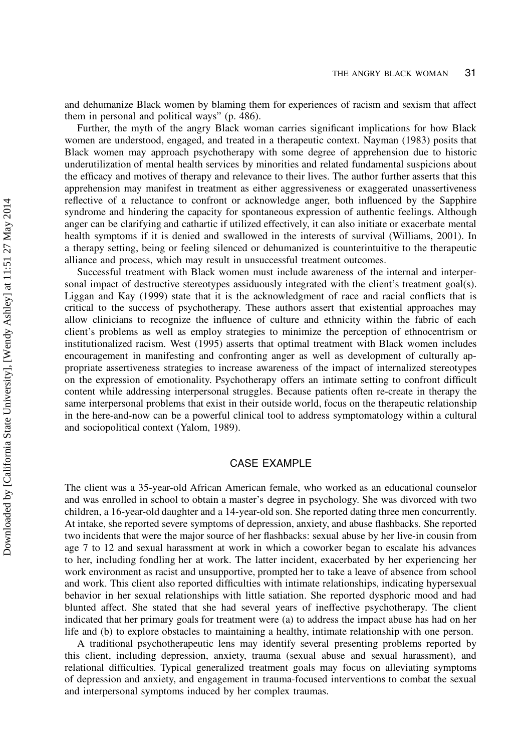and dehumanize Black women by blaming them for experiences of racism and sexism that affect them in personal and political ways" (p. 486).

Further, the myth of the angry Black woman carries significant implications for how Black women are understood, engaged, and treated in a therapeutic context. Nayman (1983) posits that Black women may approach psychotherapy with some degree of apprehension due to historic underutilization of mental health services by minorities and related fundamental suspicions about the efficacy and motives of therapy and relevance to their lives. The author further asserts that this apprehension may manifest in treatment as either aggressiveness or exaggerated unassertiveness reflective of a reluctance to confront or acknowledge anger, both influenced by the Sapphire syndrome and hindering the capacity for spontaneous expression of authentic feelings. Although anger can be clarifying and cathartic if utilized effectively, it can also initiate or exacerbate mental health symptoms if it is denied and swallowed in the interests of survival (Williams, 2001). In a therapy setting, being or feeling silenced or dehumanized is counterintuitive to the therapeutic alliance and process, which may result in unsuccessful treatment outcomes.

Successful treatment with Black women must include awareness of the internal and interpersonal impact of destructive stereotypes assiduously integrated with the client's treatment goal(s). Liggan and Kay (1999) state that it is the acknowledgment of race and racial conflicts that is critical to the success of psychotherapy. These authors assert that existential approaches may allow clinicians to recognize the influence of culture and ethnicity within the fabric of each client's problems as well as employ strategies to minimize the perception of ethnocentrism or institutionalized racism. West (1995) asserts that optimal treatment with Black women includes encouragement in manifesting and confronting anger as well as development of culturally appropriate assertiveness strategies to increase awareness of the impact of internalized stereotypes on the expression of emotionality. Psychotherapy offers an intimate setting to confront difficult content while addressing interpersonal struggles. Because patients often re-create in therapy the same interpersonal problems that exist in their outside world, focus on the therapeutic relationship in the here-and-now can be a powerful clinical tool to address symptomatology within a cultural and sociopolitical context (Yalom, 1989).

#### CASE EXAMPLE

The client was a 35-year-old African American female, who worked as an educational counselor and was enrolled in school to obtain a master's degree in psychology. She was divorced with two children, a 16-year-old daughter and a 14-year-old son. She reported dating three men concurrently. At intake, she reported severe symptoms of depression, anxiety, and abuse flashbacks. She reported two incidents that were the major source of her flashbacks: sexual abuse by her live-in cousin from age 7 to 12 and sexual harassment at work in which a coworker began to escalate his advances to her, including fondling her at work. The latter incident, exacerbated by her experiencing her work environment as racist and unsupportive, prompted her to take a leave of absence from school and work. This client also reported difficulties with intimate relationships, indicating hypersexual behavior in her sexual relationships with little satiation. She reported dysphoric mood and had blunted affect. She stated that she had several years of ineffective psychotherapy. The client indicated that her primary goals for treatment were (a) to address the impact abuse has had on her life and (b) to explore obstacles to maintaining a healthy, intimate relationship with one person.

A traditional psychotherapeutic lens may identify several presenting problems reported by this client, including depression, anxiety, trauma (sexual abuse and sexual harassment), and relational difficulties. Typical generalized treatment goals may focus on alleviating symptoms of depression and anxiety, and engagement in trauma-focused interventions to combat the sexual and interpersonal symptoms induced by her complex traumas.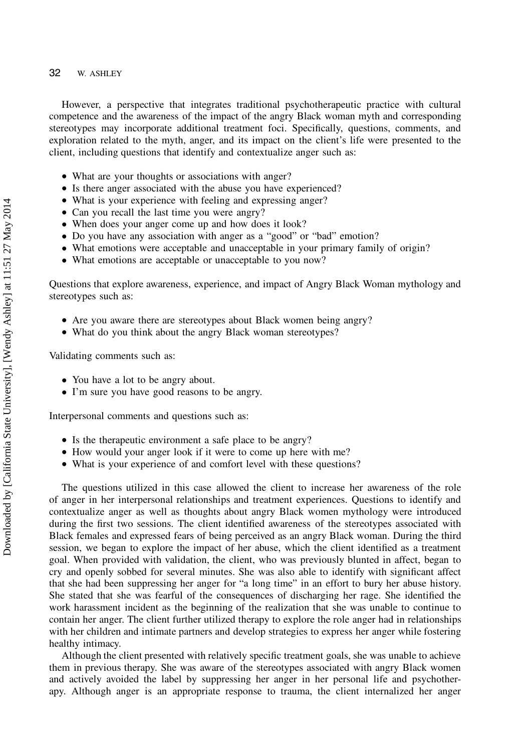#### 32 W. ASHLEY

However, a perspective that integrates traditional psychotherapeutic practice with cultural competence and the awareness of the impact of the angry Black woman myth and corresponding stereotypes may incorporate additional treatment foci. Specifically, questions, comments, and exploration related to the myth, anger, and its impact on the client's life were presented to the client, including questions that identify and contextualize anger such as:

- What are your thoughts or associations with anger?
- Is there anger associated with the abuse you have experienced?
- What is your experience with feeling and expressing anger?
- Can you recall the last time you were angry?
- When does your anger come up and how does it look?
- Do you have any association with anger as a "good" or "bad" emotion?
- What emotions were acceptable and unacceptable in your primary family of origin?
- What emotions are acceptable or unacceptable to you now?

Questions that explore awareness, experience, and impact of Angry Black Woman mythology and stereotypes such as:

- Are you aware there are stereotypes about Black women being angry?
- What do you think about the angry Black woman stereotypes?

Validating comments such as:

- You have a lot to be angry about.
- I'm sure you have good reasons to be angry.

Interpersonal comments and questions such as:

- Is the therapeutic environment a safe place to be angry?
- How would your anger look if it were to come up here with me?
- What is your experience of and comfort level with these questions?

The questions utilized in this case allowed the client to increase her awareness of the role of anger in her interpersonal relationships and treatment experiences. Questions to identify and contextualize anger as well as thoughts about angry Black women mythology were introduced during the first two sessions. The client identified awareness of the stereotypes associated with Black females and expressed fears of being perceived as an angry Black woman. During the third session, we began to explore the impact of her abuse, which the client identified as a treatment goal. When provided with validation, the client, who was previously blunted in affect, began to cry and openly sobbed for several minutes. She was also able to identify with significant affect that she had been suppressing her anger for "a long time" in an effort to bury her abuse history. She stated that she was fearful of the consequences of discharging her rage. She identified the work harassment incident as the beginning of the realization that she was unable to continue to contain her anger. The client further utilized therapy to explore the role anger had in relationships with her children and intimate partners and develop strategies to express her anger while fostering healthy intimacy.

Although the client presented with relatively specific treatment goals, she was unable to achieve them in previous therapy. She was aware of the stereotypes associated with angry Black women and actively avoided the label by suppressing her anger in her personal life and psychotherapy. Although anger is an appropriate response to trauma, the client internalized her anger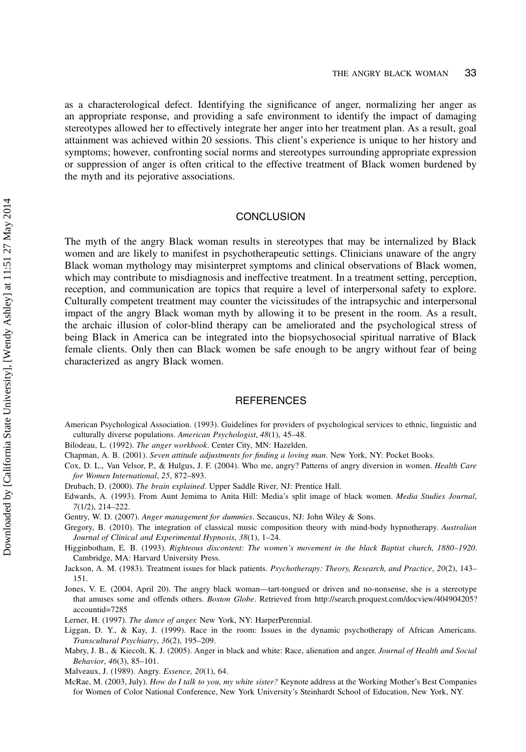as a characterological defect. Identifying the significance of anger, normalizing her anger as an appropriate response, and providing a safe environment to identify the impact of damaging stereotypes allowed her to effectively integrate her anger into her treatment plan. As a result, goal attainment was achieved within 20 sessions. This client's experience is unique to her history and symptoms; however, confronting social norms and stereotypes surrounding appropriate expression or suppression of anger is often critical to the effective treatment of Black women burdened by the myth and its pejorative associations.

#### **CONCLUSION**

The myth of the angry Black woman results in stereotypes that may be internalized by Black women and are likely to manifest in psychotherapeutic settings. Clinicians unaware of the angry Black woman mythology may misinterpret symptoms and clinical observations of Black women, which may contribute to misdiagnosis and ineffective treatment. In a treatment setting, perception, reception, and communication are topics that require a level of interpersonal safety to explore. Culturally competent treatment may counter the vicissitudes of the intrapsychic and interpersonal impact of the angry Black woman myth by allowing it to be present in the room. As a result, the archaic illusion of color-blind therapy can be ameliorated and the psychological stress of being Black in America can be integrated into the biopsychosocial spiritual narrative of Black female clients. Only then can Black women be safe enough to be angry without fear of being characterized as angry Black women.

#### **REFERENCES**

American Psychological Association. (1993). Guidelines for providers of psychological services to ethnic, linguistic and culturally diverse populations. American Psychologist, 48(1), 45–48.

Bilodeau, L. (1992). The anger workbook. Center City, MN: Hazelden.

- Chapman, A. B. (2001). Seven attitude adjustments for finding a loving man. New York, NY: Pocket Books.
- Cox, D. L., Van Velsor, P., & Hulgus, J. F. (2004). Who me, angry? Patterns of angry diversion in women. Health Care for Women International, 25, 872–893.
- Drubach, D. (2000). The brain explained. Upper Saddle River, NJ: Prentice Hall.
- Edwards, A. (1993). From Aunt Jemima to Anita Hill: Media's split image of black women. Media Studies Journal, 7(1/2), 214–222.
- Gentry, W. D. (2007). Anger management for dummies. Secaucus, NJ: John Wiley & Sons.
- Gregory, B. (2010). The integration of classical music composition theory with mind-body hypnotherapy. Australian Journal of Clinical and Experimental Hypnosis, 38(1), 1–24.
- Higginbotham, E. B. (1993). Righteous discontent: The women's movement in the black Baptist church, 1880–1920. Cambridge, MA: Harvard University Press.
- Jackson, A. M. (1983). Treatment issues for black patients. Psychotherapy: Theory, Research, and Practice, 20(2), 143– 151.
- Jones, V. E. (2004, April 20). The angry black woman—tart-tongued or driven and no-nonsense, she is a stereotype that amuses some and offends others. Boston Globe. Retrieved from http://search.proquest.com/docview/404904205? accountid=7285
- Lerner, H. (1997). The dance of anger. New York, NY: HarperPerennial.
- Liggan, D. Y., & Kay, J. (1999). Race in the room: Issues in the dynamic psychotherapy of African Americans. Transcultural Psychiatry, 36(2), 195–209.
- Mabry, J. B., & Kiecolt, K. J. (2005). Anger in black and white: Race, alienation and anger. Journal of Health and Social Behavior, 46(3), 85–101.

Malveaux, J. (1989). Angry. Essence, 20(1), 64.

McRae, M. (2003, July). How do I talk to you, my white sister? Keynote address at the Working Mother's Best Companies for Women of Color National Conference, New York University's Steinhardt School of Education, New York, NY.